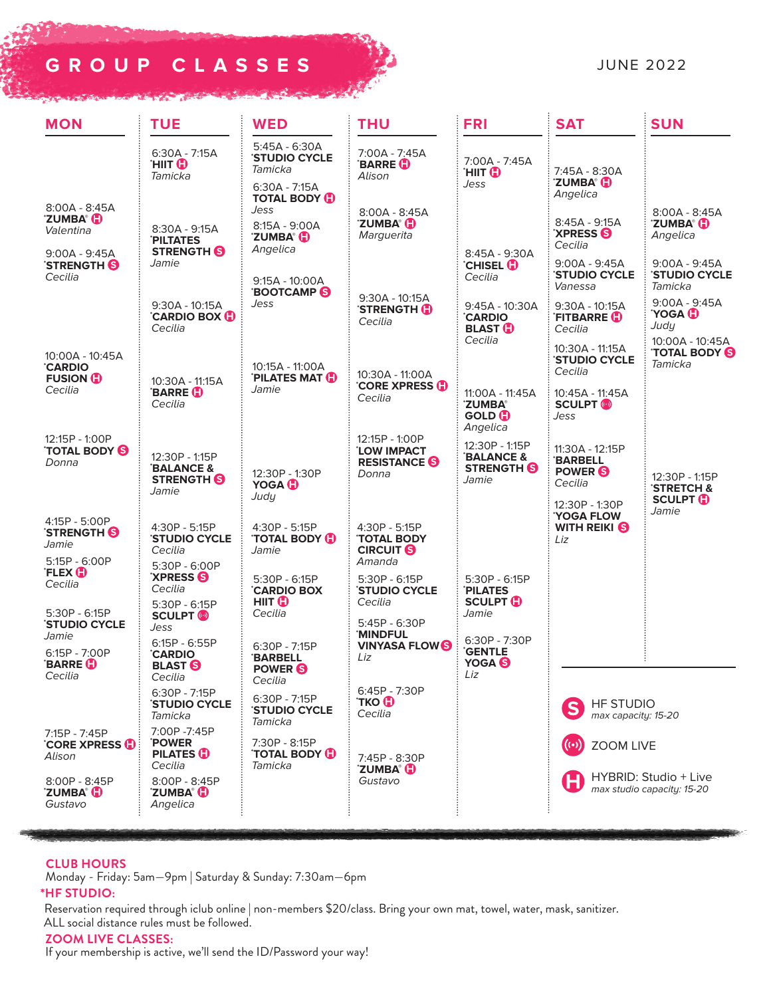# **GROUP CLASSES**



| <b>MON</b>                                                                              | <b>TUE</b>                                                                     | <b>WED</b>                                                                                  | <b>THU</b>                                                                  | <b>FRI</b>                                                                         | <b>SAT</b>                                                                          | <b>SUN</b>                                                                           |
|-----------------------------------------------------------------------------------------|--------------------------------------------------------------------------------|---------------------------------------------------------------------------------------------|-----------------------------------------------------------------------------|------------------------------------------------------------------------------------|-------------------------------------------------------------------------------------|--------------------------------------------------------------------------------------|
|                                                                                         | $6:30A - 7:15A$<br>'HIIT (D<br>Tamicka                                         | $5:45A - 6:30A$<br><b>STUDIO CYCLE</b><br>Tamicka<br>$6:30A - 7:15A$<br><b>TOTAL BODY O</b> | 7:00A - 7:45A<br><b>BARRE D</b><br>Alison                                   | 7:00A - 7:45A<br>'HIIT <b>O</b><br>Jess                                            | 7:45A - 8:30A<br><b>ZUMBA® (E)</b><br>Angelica                                      |                                                                                      |
| $8:00A - 8:45A$<br><b>ZUMBA® (E)</b><br>Valentina<br>$9:00A - 9:45A$<br><b>STRENGTH</b> | 8:30A - 9:15A<br><b>PILTATES</b><br><b>STRENGTH</b><br>Jamie                   | Jess<br>8:15A - 9:00A<br><b>ZUMBA G</b><br>Angelica                                         | $8:00A - 8:45A$<br><b>ZUMBA<sup>®</sup></b><br>Marguerita                   | 8:45A - 9:30A<br><b>CHISEL (D</b>                                                  | 8:45A - 9:15A<br><b>XPRESS</b><br>Cecilia<br>$9:00A - 9:45A$<br><b>STUDIO CYCLE</b> | 8:00A - 8:45A<br><b>ZUMBA®</b><br>Angelica<br>$9:00A - 9:45A$<br><b>STUDIO CYCLE</b> |
| Cecilia                                                                                 | 9:30A - 10:15A<br><b>CARDIO BOX (D)</b><br>Cecilia                             | $9:15A - 10:00A$<br><b>BOOTCAMP</b><br>Jess                                                 | 9:30A - 10:15A<br><b>STRENGTH HD</b><br>Cecilia                             | Cecilia<br>9:45A - 10:30A<br><b>CARDIO</b><br><b>BLAST O</b>                       | Vanessa<br>$9:30A - 10:15A$<br>'FITBARRE ( <mark>J</mark> )<br>Cecilia              | Tamicka<br>$9:00A - 9:45A$<br><b>TOGA</b><br>Judy                                    |
| 10:00A - 10:45A<br><b>CARDIO</b><br><b>FUSION O</b><br>Cecilia                          | 10:30A - 11:15A<br><b>BARRE D</b>                                              | 10:15A - 11:00A<br><b>PILATES MAT CD</b><br>Jamie                                           | 10:30A - 11:00A<br><b>CORE XPRESS O</b>                                     | Cecilia<br>11:00A - 11:45A                                                         | 10:30A - 11:15A<br><b>'STUDIO CYCLE</b><br>Cecilia<br>10:45A - 11:45A               | 10:00A - 10:45A<br><b>TOTAL BODY</b><br>Tamicka                                      |
|                                                                                         | Cecilia                                                                        |                                                                                             | Cecilia                                                                     | <b>ZUMBA®</b><br><b>GOLD D</b>                                                     | <b>SCULPT (o)</b><br>Jess                                                           |                                                                                      |
| 12:15P - 1:00P<br>TOTAL BODY <b>S</b><br>Donna                                          | 12:30P - 1:15P<br><b>BALANCE &amp;</b><br><b>STRENGTH S</b><br>Jamie           | 12:30P - 1:30P<br><b>YOGA</b>                                                               | 12:15P - 1:00P<br><b>LOW IMPACT</b><br><b>RESISTANCE</b><br>Donna           | Angelica<br>12:30P - 1:15P<br><b>BALANCE &amp;</b><br><b>STRENGTH</b><br>Jamie     | 11:30A - 12:15P<br><b>BARBELL</b><br><b>POWER</b><br>Cecilia                        | 12:30P - 1:15P<br><b>STRETCH &amp;</b>                                               |
| 4:15P - 5:00P<br><b>STRENGTH S</b><br>Jamie<br>$5:15P - 6:00P$                          | 4:30P - 5:15P<br><b>'STUDIO CYCLE</b><br>Cecilia                               | Judy<br>4:30P - 5:15P<br><b>TOTAL BODY (D)</b><br>Jamie                                     | 4:30P - 5:15P<br><b>TOTAL BODY</b><br><b>CIRCUIT S</b><br>Amanda            |                                                                                    | 12:30P - 1:30P<br><b>YOGA FLOW</b><br><b>WITH REIKI S</b><br>Liz                    | <b>SCULPT HD</b><br>Jamie                                                            |
| <b>FLEX O</b><br>Cecilia                                                                | 5:30P - 6:00P<br><b>XPRESS S</b><br>Cecilia                                    | 5:30P - 6:15P<br><b>CARDIO BOX</b>                                                          | $5:30P - 6:15P$<br><b>STUDIO CYCLE</b>                                      | 5:30P - 6:15P<br><b>PILATES</b>                                                    |                                                                                     |                                                                                      |
| 5:30P - 6:15P<br><b>'STUDIO CYCLE</b><br>Jamie<br>$6:15P - 7:00P$<br><b>BARRE</b>       | 5:30P - 6:15P<br><b>SCULPT</b> (®)<br>Jess<br>$6:15P - 6:55P$<br><b>CARDIO</b> | HIIT <b>D</b><br>Cecilia<br>6:30P - 7:15P<br><b>BARBELL</b>                                 | Cecilia<br>$5:45P - 6:30P$<br><b>MINDFUL</b><br><b>VINYASA FLOWS</b><br>Liz | <b>SCULPT HD</b><br>Jamie<br>$6:30P - 7:30P$<br><b>GENTLE</b><br>YOGA <sup>6</sup> |                                                                                     |                                                                                      |
| Cecilia                                                                                 | <b>BLAST S</b><br>Cecilia<br>6:30P - 7:15P<br><b>'STUDIO CYCLE</b><br>Tamicka  | POWER <sup>S</sup><br>Cecilia<br>6:30P - 7:15P<br><b>STUDIO CYCLE</b><br>Tamicka            | 6:45P - 7:30P<br><b>TKO (D</b><br>Cecilia                                   | LIZ                                                                                | <b>HF STUDIO</b><br>max capacity: 15-20                                             |                                                                                      |
| 7:15P - 7:45P<br><b>CORE XPRESS G</b><br>Alison                                         | 7:00P -7:45P<br><b>POWER</b><br><b>PILATES O</b><br>Cecilia                    | 7:30P - 8:15P<br><b>TOTAL BODY O</b><br>Tamicka                                             | 7:45P - 8:30P<br><b>ZUMBA<sup>®</sup></b>                                   |                                                                                    | <b>ZOOM LIVE</b><br>HYBRID: Studio + Live<br>max studio capacity: 15-20             |                                                                                      |
| 8:00P - 8:45P<br><b>ZUMBA® (E)</b><br>Gustavo                                           | 8:00P - 8:45P<br><b>ZUMBA<sup>®</sup></b><br>Angelica                          |                                                                                             | Gustavo                                                                     |                                                                                    |                                                                                     |                                                                                      |

## **CLUB HOURS**

Monday - Friday: 5am—9pm | Saturday & Sunday: 7:30am—6pm

## **\*HF STUDIO:**

Reservation required through iclub online | non-members \$20/class. Bring your own mat, towel, water, mask, sanitizer. ALL social distance rules must be followed.

## **ZOOM LIVE CLASSES:**

If your membership is active, we'll send the ID/Password your way!